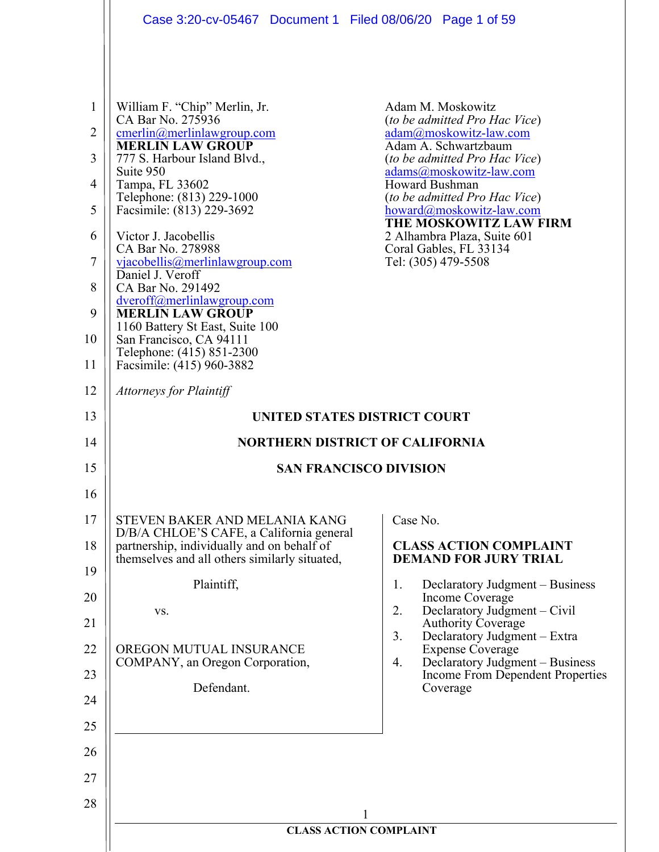| $\mathbf{1}$<br>William F. "Chip" Merlin, Jr.<br>Adam M. Moskowitz<br>CA Bar No. 275936<br>(to be admitted Pro Hac Vice)<br>2<br>cmerlin@merlinlawgroup.com<br>adam@moskowitz-law.com<br><b>MERLIN LAW GROUP</b><br>Adam A. Schwartzbaum<br>3<br>777 S. Harbour Island Blvd.,<br>(to be admitted Pro Hac Vice)<br>Suite 950<br>adams@moskowitz-law.com<br>Howard Bushman<br>Tampa, FL 33602<br>4<br>Telephone: (813) 229-1000<br>(to be admitted Pro Hac Vice)<br>5<br>Facsimile: (813) 229-3692<br>howard@moskowitz-law.com<br>THE MOSKOWITZ LAW FIRM<br>Victor J. Jacobellis<br>2 Alhambra Plaza, Suite 601<br>6<br>CA Bar No. 278988<br>Coral Gables, FL 33134<br>7<br>Tel: (305) 479-5508<br>vjacobellis@merlinlawgroup.com<br>Daniel J. Veroff<br>8<br>CA Bar No. 291492<br>dveroff@merlinlawgroup.com<br><b>MERLIN LAW GROUP</b><br>9<br>1160 Battery St East, Suite 100<br>San Francisco, CA 94111<br>Telephone: (415) 851-2300<br>Facsimile: (415) 960-3882<br><b>Attorneys for Plaintiff</b><br>UNITED STATES DISTRICT COURT<br><b>NORTHERN DISTRICT OF CALIFORNIA</b><br><b>SAN FRANCISCO DIVISION</b><br>Case No.<br>STEVEN BAKER AND MELANIA KANG<br>D/B/A CHLOE'S CAFE, a California general<br>partnership, individually and on behalf of<br><b>CLASS ACTION COMPLAINT</b><br>themselves and all others similarly situated,<br><b>DEMAND FOR JURY TRIAL</b><br>Plaintiff,<br>Declaratory Judgment - Business<br>1.<br><b>Income Coverage</b><br>Declaratory Judgment – Civil<br>2.<br>VS.<br><b>Authority Coverage</b><br>3.<br>Declaratory Judgment - Extra<br>OREGON MUTUAL INSURANCE<br><b>Expense Coverage</b><br>Declaratory Judgment – Business<br>COMPANY, an Oregon Corporation,<br>4.<br>Income From Dependent Properties<br>Defendant.<br>Coverage<br><b>CLASS ACTION COMPLAINT</b> |                                                                            | Case 3:20-cv-05467 Document 1 Filed 08/06/20 Page 1 of 59 |  |
|-------------------------------------------------------------------------------------------------------------------------------------------------------------------------------------------------------------------------------------------------------------------------------------------------------------------------------------------------------------------------------------------------------------------------------------------------------------------------------------------------------------------------------------------------------------------------------------------------------------------------------------------------------------------------------------------------------------------------------------------------------------------------------------------------------------------------------------------------------------------------------------------------------------------------------------------------------------------------------------------------------------------------------------------------------------------------------------------------------------------------------------------------------------------------------------------------------------------------------------------------------------------------------------------------------------------------------------------------------------------------------------------------------------------------------------------------------------------------------------------------------------------------------------------------------------------------------------------------------------------------------------------------------------------------------------------------------------------------------------------------------------------------------------------------------------|----------------------------------------------------------------------------|-----------------------------------------------------------|--|
|                                                                                                                                                                                                                                                                                                                                                                                                                                                                                                                                                                                                                                                                                                                                                                                                                                                                                                                                                                                                                                                                                                                                                                                                                                                                                                                                                                                                                                                                                                                                                                                                                                                                                                                                                                                                             | 10<br>11                                                                   |                                                           |  |
|                                                                                                                                                                                                                                                                                                                                                                                                                                                                                                                                                                                                                                                                                                                                                                                                                                                                                                                                                                                                                                                                                                                                                                                                                                                                                                                                                                                                                                                                                                                                                                                                                                                                                                                                                                                                             | 12                                                                         |                                                           |  |
|                                                                                                                                                                                                                                                                                                                                                                                                                                                                                                                                                                                                                                                                                                                                                                                                                                                                                                                                                                                                                                                                                                                                                                                                                                                                                                                                                                                                                                                                                                                                                                                                                                                                                                                                                                                                             | 13                                                                         |                                                           |  |
|                                                                                                                                                                                                                                                                                                                                                                                                                                                                                                                                                                                                                                                                                                                                                                                                                                                                                                                                                                                                                                                                                                                                                                                                                                                                                                                                                                                                                                                                                                                                                                                                                                                                                                                                                                                                             | 14                                                                         |                                                           |  |
|                                                                                                                                                                                                                                                                                                                                                                                                                                                                                                                                                                                                                                                                                                                                                                                                                                                                                                                                                                                                                                                                                                                                                                                                                                                                                                                                                                                                                                                                                                                                                                                                                                                                                                                                                                                                             | 15                                                                         |                                                           |  |
|                                                                                                                                                                                                                                                                                                                                                                                                                                                                                                                                                                                                                                                                                                                                                                                                                                                                                                                                                                                                                                                                                                                                                                                                                                                                                                                                                                                                                                                                                                                                                                                                                                                                                                                                                                                                             | 16<br>17<br>18<br>19<br>20<br>21<br>22<br>23<br>24<br>25<br>26<br>27<br>28 |                                                           |  |
|                                                                                                                                                                                                                                                                                                                                                                                                                                                                                                                                                                                                                                                                                                                                                                                                                                                                                                                                                                                                                                                                                                                                                                                                                                                                                                                                                                                                                                                                                                                                                                                                                                                                                                                                                                                                             |                                                                            |                                                           |  |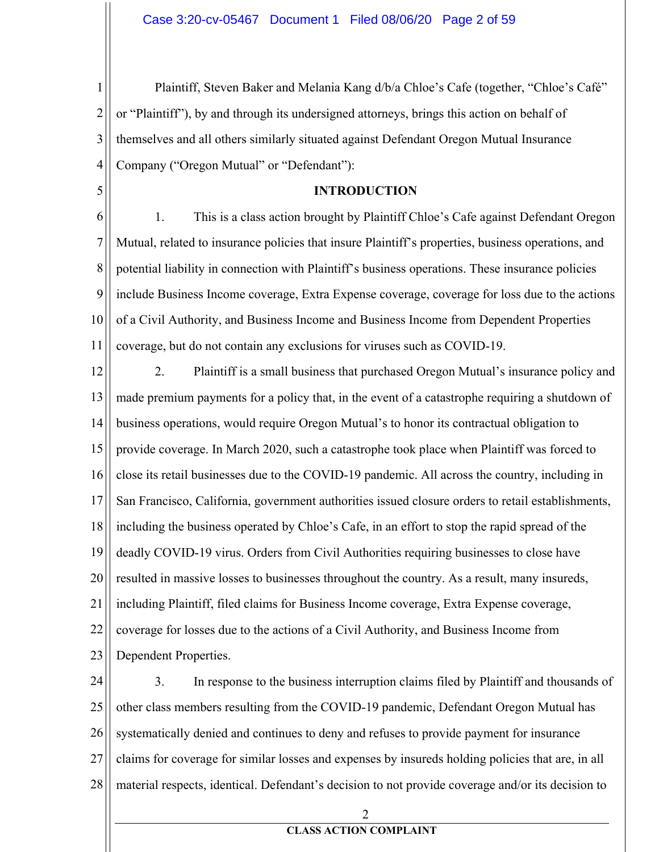$\mathbf{1}$ Plaintiff, Steven Baker and Melania Kang d/b/a Chloe's Cafe (together, "Chloe's Café"  $\overline{2}$ or "Plaintiff"), by and through its undersigned attorneys, brings this action on behalf of 3 themselves and all others similarly situated against Defendant Oregon Mutual Insurance 4 Company ("Oregon Mutual" or "Defendant"):

#### **INTRODUCTION**

5

6 1. This is a class action brought by Plaintiff Chloe's Cafe against Defendant Oregon 7 Mutual, related to insurance policies that insure Plaintiff's properties, business operations, and 8 potential liability in connection with Plaintiff's business operations. These insurance policies 9 include Business Income coverage, Extra Expense coverage, coverage for loss due to the actions 10 of a Civil Authority, and Business Income and Business Income from Dependent Properties 11 coverage, but do not contain any exclusions for viruses such as COVID-19.

12 2. Plaintiff is a small business that purchased Oregon Mutual's insurance policy and 13 made premium payments for a policy that, in the event of a catastrophe requiring a shutdown of 14 business operations, would require Oregon Mutual's to honor its contractual obligation to 15 provide coverage. In March 2020, such a catastrophe took place when Plaintiff was forced to 16 close its retail businesses due to the COVID-19 pandemic. All across the country, including in 17 San Francisco, California, government authorities issued closure orders to retail establishments, 18 including the business operated by Chloe's Cafe, in an effort to stop the rapid spread of the 19 deadly COVID-19 virus. Orders from Civil Authorities requiring businesses to close have 20 resulted in massive losses to businesses throughout the country. As a result, many insureds, 21 including Plaintiff, filed claims for Business Income coverage, Extra Expense coverage, 22 coverage for losses due to the actions of a Civil Authority, and Business Income from 23 Dependent Properties.

 $3.$ 24 In response to the business interruption claims filed by Plaintiff and thousands of 25 other class members resulting from the COVID-19 pandemic, Defendant Oregon Mutual has 26 systematically denied and continues to deny and refuses to provide payment for insurance 27 claims for coverage for similar losses and expenses by insureds holding policies that are, in all 28 material respects, identical. Defendant's decision to not provide coverage and/or its decision to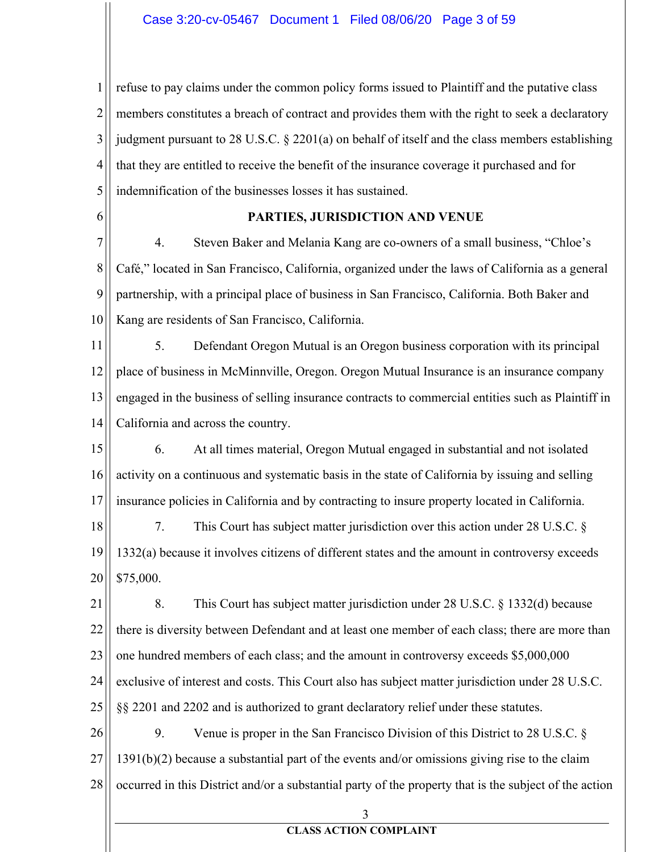1  $\overline{2}$ 3 4 5 refuse to pay claims under the common policy forms issued to Plaintiff and the putative class members constitutes a breach of contract and provides them with the right to seek a declaratory judgment pursuant to 28 U.S.C.  $\S$  2201(a) on behalf of itself and the class members establishing that they are entitled to receive the benefit of the insurance coverage it purchased and for indemnification of the businesses losses it has sustained.

6

## PARTIES, JURISDICTION AND VENUE

7 8 9 10 4. Steven Baker and Melania Kang are co-owners of a small business, "Chloe's Café," located in San Francisco, California, organized under the laws of California as a general partnership, with a principal place of business in San Francisco, California. Both Baker and Kang are residents of San Francisco, California.

11 12 13 14 5. Defendant Oregon Mutual is an Oregon business corporation with its principal place of business in McMinnville, Oregon. Oregon Mutual Insurance is an insurance company engaged in the business of selling insurance contracts to commercial entities such as Plaintiff in California and across the country.

15 16 17 6. At all times material, Oregon Mutual engaged in substantial and not isolated activity on a continuous and systematic basis in the state of California by issuing and selling insurance policies in California and by contracting to insure property located in California.

18 19 20 7. This Court has subject matter jurisdiction over this action under 28 U.S.C.  $\S$ 1332(a) because it involves citizens of different states and the amount in controversy exceeds \$75,000.

21 22 23 24 25 8. This Court has subject matter jurisdiction under  $28$  U.S.C. § 1332(d) because there is diversity between Defendant and at least one member of each class; there are more than one hundred members of each class; and the amount in controversy exceeds  $$5,000,000$ exclusive of interest and costs. This Court also has subject matter jurisdiction under 28 U.S.C.  $\S$  2201 and 2202 and is authorized to grant declaratory relief under these statutes.

26 27 28 9. Venue is proper in the San Francisco Division of this District to 28 U.S.C.  $\S$  $1391(b)(2)$  because a substantial part of the events and/or omissions giving rise to the claim occurred in this District and/or a substantial party of the property that is the subject of the action

3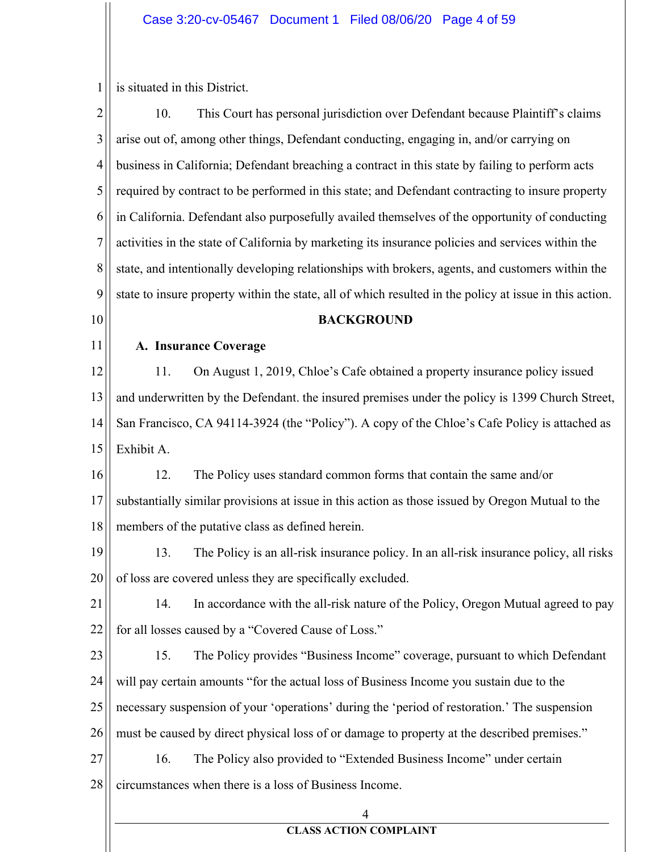$1\parallel$  is situated in this District.

| $\overline{2}$ | 10.<br>This Court has personal jurisdiction over Defendant because Plaintiff's claims                   |
|----------------|---------------------------------------------------------------------------------------------------------|
| 3              | arise out of, among other things, Defendant conducting, engaging in, and/or carrying on                 |
| $\overline{4}$ | business in California; Defendant breaching a contract in this state by failing to perform acts         |
| 5              | required by contract to be performed in this state; and Defendant contracting to insure property        |
| 6              | in California. Defendant also purposefully availed themselves of the opportunity of conducting          |
| 7              | activities in the state of California by marketing its insurance policies and services within the       |
| 8              | state, and intentionally developing relationships with brokers, agents, and customers within the        |
| 9              | state to insure property within the state, all of which resulted in the policy at issue in this action. |
| 10             | <b>BACKGROUND</b>                                                                                       |
| 11             | A. Insurance Coverage                                                                                   |
| 12             | On August 1, 2019, Chloe's Cafe obtained a property insurance policy issued<br>11.                      |
| 13             | and underwritten by the Defendant. the insured premises under the policy is 1399 Church Street,         |
| 14             | San Francisco, CA 94114-3924 (the "Policy"). A copy of the Chloe's Cafe Policy is attached as           |
| 15             | Exhibit A.                                                                                              |
| 16             | The Policy uses standard common forms that contain the same and/or<br>12.                               |
| 17             | substantially similar provisions at issue in this action as those issued by Oregon Mutual to the        |
| 18             | members of the putative class as defined herein.                                                        |
| 19             | The Policy is an all-risk insurance policy. In an all-risk insurance policy, all risks<br>13.           |
| 20             | of loss are covered unless they are specifically excluded.                                              |
| 21             | In accordance with the all-risk nature of the Policy, Oregon Mutual agreed to pay<br>14.                |
| 22             | for all losses caused by a "Covered Cause of Loss."                                                     |
| 23             | The Policy provides "Business Income" coverage, pursuant to which Defendant<br>15.                      |
| 24             | will pay certain amounts "for the actual loss of Business Income you sustain due to the                 |
| 25             | necessary suspension of your 'operations' during the 'period of restoration.' The suspension            |
| 26             | must be caused by direct physical loss of or damage to property at the described premises."             |
| 27             | 16.<br>The Policy also provided to "Extended Business Income" under certain                             |
| 28             | circumstances when there is a loss of Business Income.                                                  |
|                | 4                                                                                                       |
|                | <b>CLASS ACTION COMPLAINT</b>                                                                           |
|                |                                                                                                         |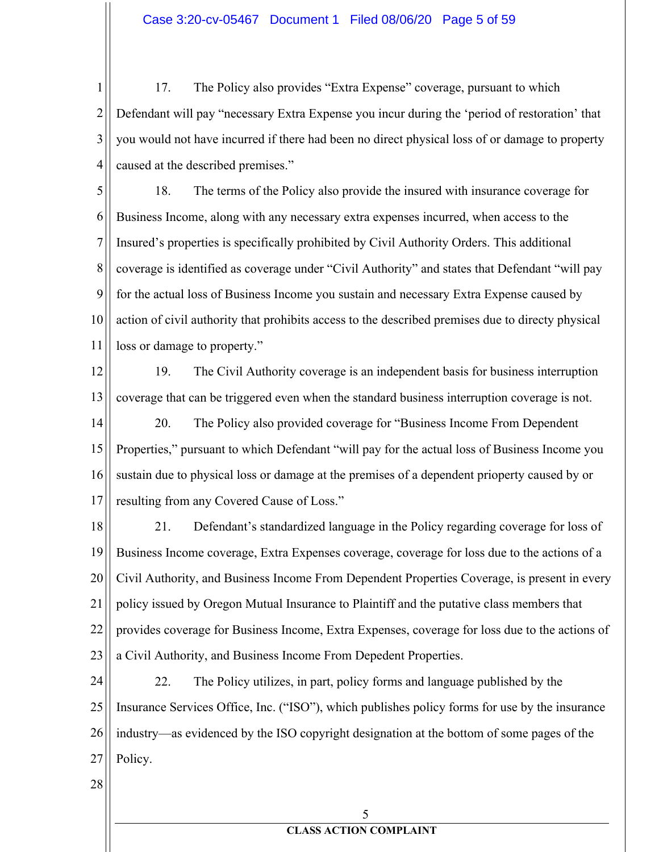$\mathbf{1}$ 17. The Policy also provides "Extra Expense" coverage, pursuant to which  $\overline{2}$ Defendant will pay "necessary Extra Expense you incur during the 'period of restoration' that 3 you would not have incurred if there had been no direct physical loss of or damage to property 4 caused at the described premises."

5 18. The terms of the Policy also provide the insured with insurance coverage for 6 Business Income, along with any necessary extra expenses incurred, when access to the 7 Insured's properties is specifically prohibited by Civil Authority Orders. This additional 8 coverage is identified as coverage under "Civil Authority" and states that Defendant "will pay 9 for the actual loss of Business Income you sustain and necessary Extra Expense caused by 10 action of civil authority that prohibits access to the described premises due to directy physical 11 loss or damage to property."

12

13

19. The Civil Authority coverage is an independent basis for business interruption coverage that can be triggered even when the standard business interruption coverage is not.

14 20. The Policy also provided coverage for "Business Income From Dependent" 15 Properties," pursuant to which Defendant "will pay for the actual loss of Business Income you 16 sustain due to physical loss or damage at the premises of a dependent prioperty caused by or 17 resulting from any Covered Cause of Loss."

18 21. Defendant's standardized language in the Policy regarding coverage for loss of 19 Business Income coverage, Extra Expenses coverage, coverage for loss due to the actions of a 20 Civil Authority, and Business Income From Dependent Properties Coverage, is present in every 21 policy issued by Oregon Mutual Insurance to Plaintiff and the putative class members that 22 provides coverage for Business Income, Extra Expenses, coverage for loss due to the actions of 23 a Civil Authority, and Business Income From Depedent Properties.

22. The Policy utilizes, in part, policy forms and language published by the 24 25 Insurance Services Office, Inc. ("ISO"), which publishes policy forms for use by the insurance 26 industry—as evidenced by the ISO copyright designation at the bottom of some pages of the 27 Policy.

28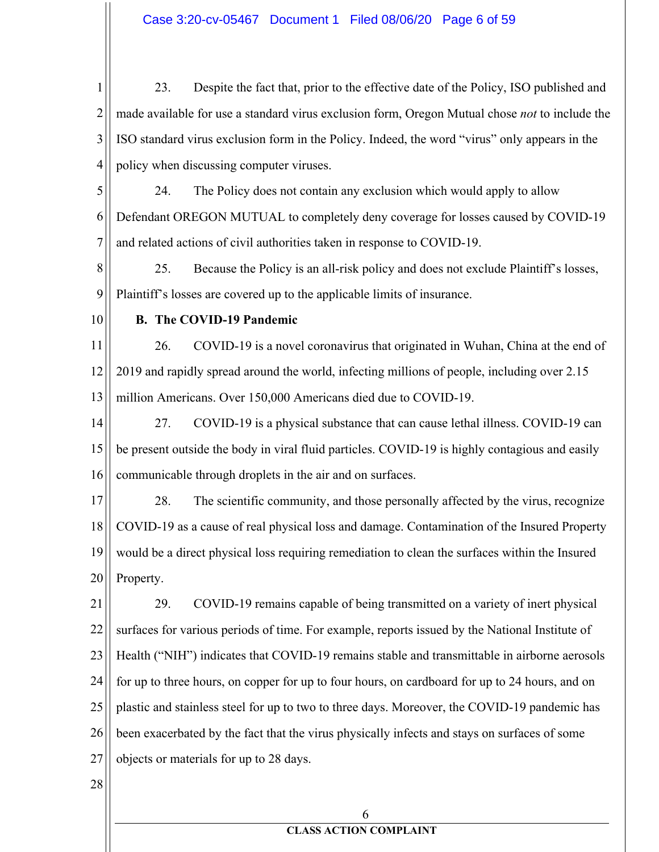$\mathbf{1}$ 23. Despite the fact that, prior to the effective date of the Policy, ISO published and  $\overline{2}$ made available for use a standard virus exclusion form, Oregon Mutual chose not to include the 3 ISO standard virus exclusion form in the Policy. Indeed, the word "virus" only appears in the 4 policy when discussing computer viruses.

5 24. The Policy does not contain any exclusion which would apply to allow 6 Defendant OREGON MUTUAL to completely deny coverage for losses caused by COVID-19 7 and related actions of civil authorities taken in response to COVID-19.

8 25. Because the Policy is an all-risk policy and does not exclude Plaintiff's losses, 9 Plaintiff's losses are covered up to the applicable limits of insurance.

10

## **B.** The COVID-19 Pandemic

11 26. COVID-19 is a novel coronavirus that originated in Wuhan, China at the end of 12 2019 and rapidly spread around the world, infecting millions of people, including over 2.15 13 million Americans. Over 150,000 Americans died due to COVID-19.

14 27. COVID-19 is a physical substance that can cause lethal illness. COVID-19 can 15 be present outside the body in viral fluid particles. COVID-19 is highly contagious and easily 16 communicable through droplets in the air and on surfaces.

17 28. The scientific community, and those personally affected by the virus, recognize COVID-19 as a cause of real physical loss and damage. Contamination of the Insured Property 18 19 would be a direct physical loss requiring remediation to clean the surfaces within the Insured 20 Property.

21 29. COVID-19 remains capable of being transmitted on a variety of inert physical 22 surfaces for various periods of time. For example, reports issued by the National Institute of 23 Health ("NIH") indicates that COVID-19 remains stable and transmittable in airborne aerosols for up to three hours, on copper for up to four hours, on cardboard for up to 24 hours, and on 24 25 plastic and stainless steel for up to two to three days. Moreover, the COVID-19 pandemic has 26 been exacerbated by the fact that the virus physically infects and stays on surfaces of some 27 objects or materials for up to 28 days.

28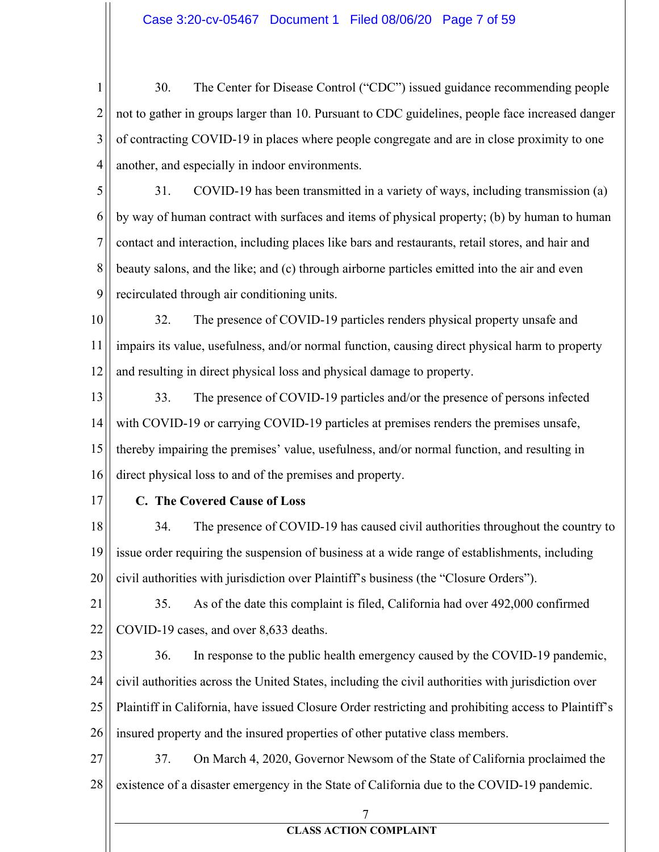$\mathbf{1}$ 30. The Center for Disease Control ("CDC") issued guidance recommending people  $\overline{2}$ not to gather in groups larger than 10. Pursuant to CDC guidelines, people face increased danger 3 of contracting COVID-19 in places where people congregate and are in close proximity to one 4 another, and especially in indoor environments.

5 31. COVID-19 has been transmitted in a variety of ways, including transmission (a) 6 by way of human contract with surfaces and items of physical property; (b) by human to human 7 contact and interaction, including places like bars and restaurants, retail stores, and hair and 8 beauty salons, and the like; and (c) through airborne particles emitted into the air and even 9 recirculated through air conditioning units.

10 32. The presence of COVID-19 particles renders physical property unsafe and 11 impairs its value, usefulness, and/or normal function, causing direct physical harm to property 12 and resulting in direct physical loss and physical damage to property.

- 13 33. The presence of COVID-19 particles and/or the presence of persons infected 14 with COVID-19 or carrying COVID-19 particles at premises renders the premises unsafe, 15 thereby impairing the premises' value, usefulness, and/or normal function, and resulting in 16 direct physical loss to and of the premises and property.
- 17

## C. The Covered Cause of Loss

34. 18 The presence of COVID-19 has caused civil authorities throughout the country to 19 issue order requiring the suspension of business at a wide range of establishments, including 20 civil authorities with jurisdiction over Plaintiff's business (the "Closure Orders").

21 35. As of the date this complaint is filed, California had over 492,000 confirmed 22 COVID-19 cases, and over 8,633 deaths.

23 36. In response to the public health emergency caused by the COVID-19 pandemic, 24 civil authorities across the United States, including the civil authorities with jurisdiction over 25 Plaintiff in California, have issued Closure Order restricting and prohibiting access to Plaintiff's 26 insured property and the insured properties of other putative class members.

27 37. On March 4, 2020, Governor Newsom of the State of California proclaimed the existence of a disaster emergency in the State of California due to the COVID-19 pandemic. 28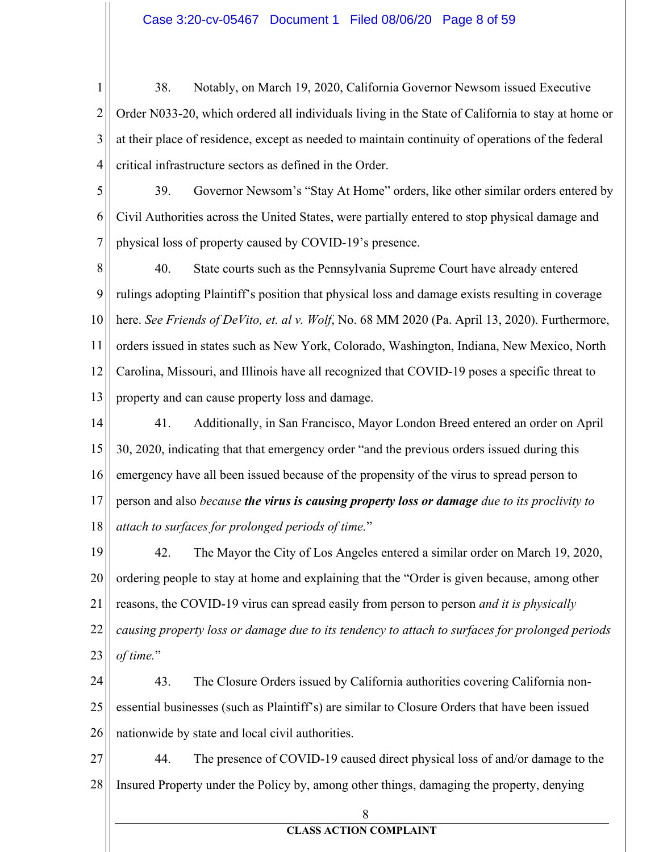$\mathbf{1}$ 38. Notably, on March 19, 2020, California Governor Newsom issued Executive  $\overline{2}$ Order N033-20, which ordered all individuals living in the State of California to stay at home or 3 at their place of residence, except as needed to maintain continuity of operations of the federal 4 critical infrastructure sectors as defined in the Order.

5 39. Governor Newsom's "Stay At Home" orders, like other similar orders entered by 6 Civil Authorities across the United States, were partially entered to stop physical damage and  $\overline{7}$ physical loss of property caused by COVID-19's presence.

8  $40.$ State courts such as the Pennsylvania Supreme Court have already entered 9 rulings adopting Plaintiff's position that physical loss and damage exists resulting in coverage 10 here. See Friends of DeVito, et. al v. Wolf, No. 68 MM 2020 (Pa. April 13, 2020). Furthermore, 11 orders issued in states such as New York, Colorado, Washington, Indiana, New Mexico, North 12 Carolina, Missouri, and Illinois have all recognized that COVID-19 poses a specific threat to 13 property and can cause property loss and damage.

14 41. Additionally, in San Francisco, Mayor London Breed entered an order on April 15 30, 2020, indicating that that emergency order "and the previous orders issued during this 16 emergency have all been issued because of the propensity of the virus to spread person to 17 person and also because the virus is causing property loss or damage due to its proclivity to 18 attach to surfaces for prolonged periods of time."

42. 19 The Mayor the City of Los Angeles entered a similar order on March 19, 2020, 20 ordering people to stay at home and explaining that the "Order is given because, among other 21 reasons, the COVID-19 virus can spread easily from person to person *and it is physically* 22 causing property loss or damage due to its tendency to attach to surfaces for prolonged periods of time." 23

24 43. The Closure Orders issued by California authorities covering California nonessential businesses (such as Plaintiff's) are similar to Closure Orders that have been issued 25 26 nationwide by state and local civil authorities.

27 44. The presence of COVID-19 caused direct physical loss of and/or damage to the Insured Property under the Policy by, among other things, damaging the property, denying 28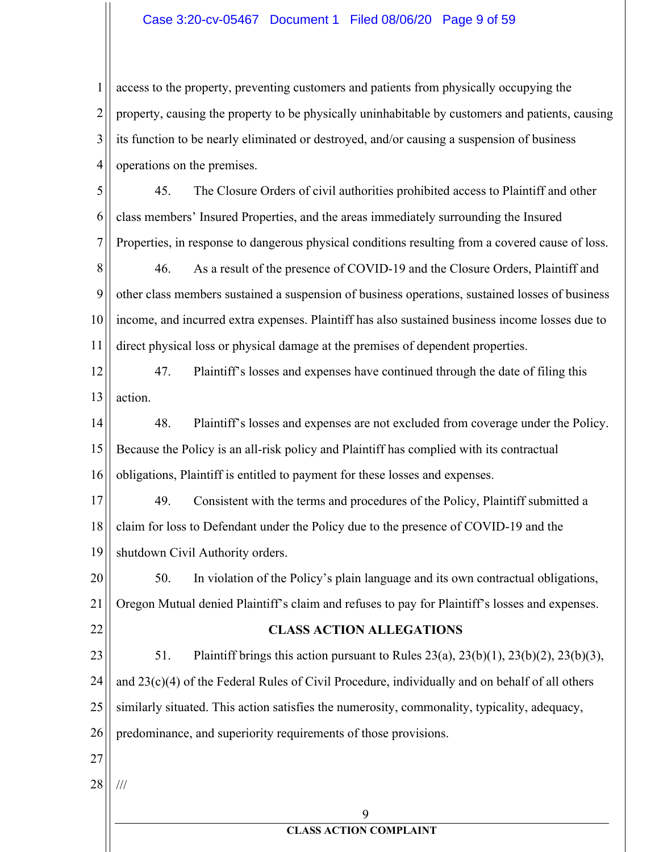### Case 3:20-cv-05467 Document 1 Filed 08/06/20 Page 9 of 59

access to the property, preventing customers and patients from physically occupying the  $\mathbf{1}$  $\overline{2}$ property, causing the property to be physically uninhabitable by customers and patients, causing 3 its function to be nearly eliminated or destroyed, and/or causing a suspension of business 4 operations on the premises.

5 45. The Closure Orders of civil authorities prohibited access to Plaintiff and other 6 class members' Insured Properties, and the areas immediately surrounding the Insured 7 Properties, in response to dangerous physical conditions resulting from a covered cause of loss.

8 46. As a result of the presence of COVID-19 and the Closure Orders, Plaintiff and 9 other class members sustained a suspension of business operations, sustained losses of business 10 income, and incurred extra expenses. Plaintiff has also sustained business income losses due to 11 direct physical loss or physical damage at the premises of dependent properties.

12

47. Plaintiff's losses and expenses have continued through the date of filing this

13 action.

14 48. Plaintiff's losses and expenses are not excluded from coverage under the Policy. 15 Because the Policy is an all-risk policy and Plaintiff has complied with its contractual 16 obligations, Plaintiff is entitled to payment for these losses and expenses.

17 49. Consistent with the terms and procedures of the Policy, Plaintiff submitted a claim for loss to Defendant under the Policy due to the presence of COVID-19 and the 18 19 shutdown Civil Authority orders.

20 50. In violation of the Policy's plain language and its own contractual obligations, 21 Oregon Mutual denied Plaintiff's claim and refuses to pay for Plaintiff's losses and expenses.

### **CLASS ACTION ALLEGATIONS**

23 51. Plaintiff brings this action pursuant to Rules  $23(a)$ ,  $23(b)(1)$ ,  $23(b)(2)$ ,  $23(b)(3)$ , 24 and  $23(c)(4)$  of the Federal Rules of Civil Procedure, individually and on behalf of all others 25 similarly situated. This action satisfies the numerosity, commonality, typicality, adequacy, 26 predominance, and superiority requirements of those provisions.

27

22

28  $\frac{1}{1}$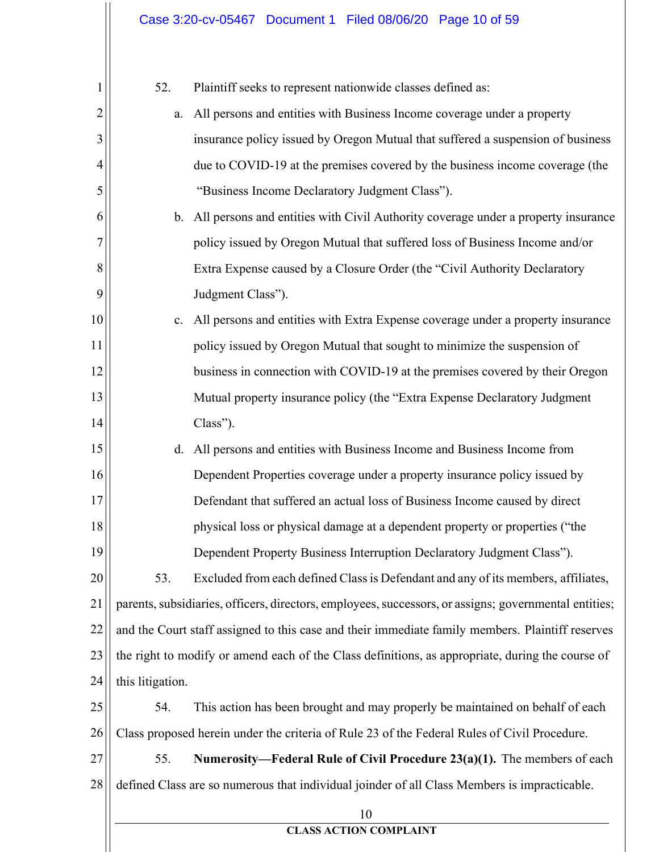| 1              | 52.                                                                                              | Plaintiff seeks to represent nationwide classes defined as:                                           |
|----------------|--------------------------------------------------------------------------------------------------|-------------------------------------------------------------------------------------------------------|
| $\overline{2}$ | a.                                                                                               | All persons and entities with Business Income coverage under a property                               |
| 3              |                                                                                                  | insurance policy issued by Oregon Mutual that suffered a suspension of business                       |
| 4              |                                                                                                  | due to COVID-19 at the premises covered by the business income coverage (the                          |
| 5              |                                                                                                  | "Business Income Declaratory Judgment Class").                                                        |
| 6              | $\mathbf{b}$ .                                                                                   | All persons and entities with Civil Authority coverage under a property insurance                     |
| 7              |                                                                                                  | policy issued by Oregon Mutual that suffered loss of Business Income and/or                           |
| 8              |                                                                                                  | Extra Expense caused by a Closure Order (the "Civil Authority Declaratory                             |
| 9              |                                                                                                  | Judgment Class").                                                                                     |
| 10             | c.                                                                                               | All persons and entities with Extra Expense coverage under a property insurance                       |
| 11             |                                                                                                  | policy issued by Oregon Mutual that sought to minimize the suspension of                              |
| 12             |                                                                                                  | business in connection with COVID-19 at the premises covered by their Oregon                          |
| 13             |                                                                                                  | Mutual property insurance policy (the "Extra Expense Declaratory Judgment                             |
| 14             |                                                                                                  | Class").                                                                                              |
| 15             | d.                                                                                               | All persons and entities with Business Income and Business Income from                                |
| 16             |                                                                                                  | Dependent Properties coverage under a property insurance policy issued by                             |
| 17             |                                                                                                  | Defendant that suffered an actual loss of Business Income caused by direct                            |
| 18             |                                                                                                  | physical loss or physical damage at a dependent property or properties ("the                          |
| 19             |                                                                                                  | Dependent Property Business Interruption Declaratory Judgment Class").                                |
| 20             | 53.                                                                                              | Excluded from each defined Class is Defendant and any of its members, affiliates,                     |
| 21             |                                                                                                  | parents, subsidiaries, officers, directors, employees, successors, or assigns; governmental entities; |
| 22             | and the Court staff assigned to this case and their immediate family members. Plaintiff reserves |                                                                                                       |
| 23             | the right to modify or amend each of the Class definitions, as appropriate, during the course of |                                                                                                       |
| 24             | this litigation.                                                                                 |                                                                                                       |
| 25             | 54.                                                                                              | This action has been brought and may properly be maintained on behalf of each                         |
| 26             |                                                                                                  | Class proposed herein under the criteria of Rule 23 of the Federal Rules of Civil Procedure.          |
| 27             | 55.                                                                                              | Numerosity—Federal Rule of Civil Procedure 23(a)(1). The members of each                              |
| 28             |                                                                                                  | defined Class are so numerous that individual joinder of all Class Members is impracticable.          |
|                |                                                                                                  | 10                                                                                                    |
|                |                                                                                                  | <b>CLASS ACTION COMPLAINT</b>                                                                         |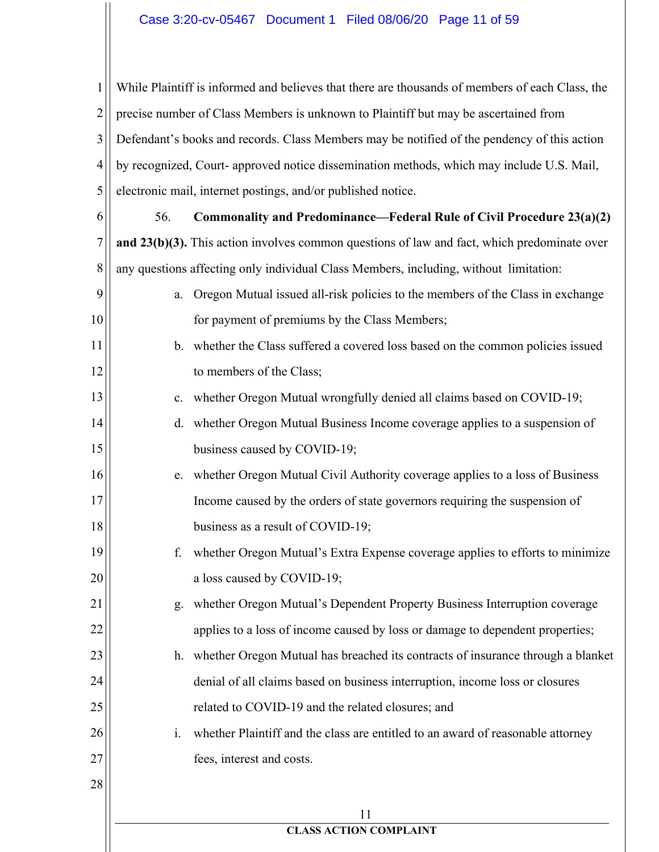$\mathbf{1}$ While Plaintiff is informed and believes that there are thousands of members of each Class, the  $\overline{2}$ precise number of Class Members is unknown to Plaintiff but may be ascertained from 3 Defendant's books and records. Class Members may be notified of the pendency of this action 4 by recognized, Court- approved notice dissemination methods, which may include U.S. Mail, 5 electronic mail, internet postings, and/or published notice.

56. 6 Commonality and Predominance—Federal Rule of Civil Procedure 23(a)(2) 7 and  $23(b)(3)$ . This action involves common questions of law and fact, which predominate over 8 any questions affecting only individual Class Members, including, without limitation:

- a. Oregon Mutual issued all-risk policies to the members of the Class in exchange for payment of premiums by the Class Members;
- b. whether the Class suffered a covered loss based on the common policies issued to members of the Class:
	- c. whether Oregon Mutual wrongfully denied all claims based on COVID-19;
	- d. whether Oregon Mutual Business Income coverage applies to a suspension of business caused by COVID-19;
	- e. whether Oregon Mutual Civil Authority coverage applies to a loss of Business Income caused by the orders of state governors requiring the suspension of business as a result of COVID-19;
	- f. whether Oregon Mutual's Extra Expense coverage applies to efforts to minimize a loss caused by COVID-19;
		- g. whether Oregon Mutual's Dependent Property Business Interruption coverage applies to a loss of income caused by loss or damage to dependent properties;
- h. whether Oregon Mutual has breached its contracts of insurance through a blanket denial of all claims based on business interruption, income loss or closures related to COVID-19 and the related closures; and
	- i. whether Plaintiff and the class are entitled to an award of reasonable attorney fees, interest and costs.
- 28

9

10

11

12

13

14

15

16

17

18

19

20

21

22

23

24

25

26

27

11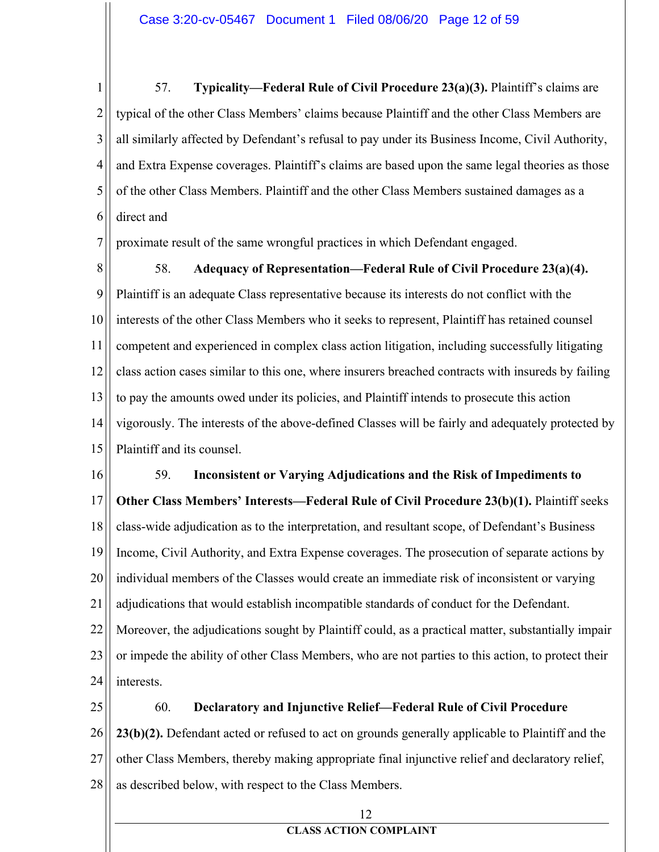$\mathbf{1}$ 57. Typicality—Federal Rule of Civil Procedure 23(a)(3). Plaintiff's claims are  $\overline{2}$ typical of the other Class Members' claims because Plaintiff and the other Class Members are 3 all similarly affected by Defendant's refusal to pay under its Business Income, Civil Authority, 4 and Extra Expense coverages. Plaintiff's claims are based upon the same legal theories as those 5 of the other Class Members. Plaintiff and the other Class Members sustained damages as a 6 direct and

7 proximate result of the same wrongful practices in which Defendant engaged.

8 58. Adequacy of Representation—Federal Rule of Civil Procedure 23(a)(4). 9 Plaintiff is an adequate Class representative because its interests do not conflict with the 10 interests of the other Class Members who it seeks to represent, Plaintiff has retained counsel 11 competent and experienced in complex class action litigation, including successfully litigating 12 class action cases similar to this one, where insurers breached contracts with insureds by failing 13 to pay the amounts owed under its policies, and Plaintiff intends to prosecute this action 14 vigorously. The interests of the above-defined Classes will be fairly and adequately protected by 15 Plaintiff and its counsel.

16 59. Inconsistent or Varying Adjudications and the Risk of Impediments to 17 **Other Class Members' Interests—Federal Rule of Civil Procedure 23(b)(1).** Plaintiff seeks 18 class-wide adjudication as to the interpretation, and resultant scope, of Defendant's Business 19 Income, Civil Authority, and Extra Expense coverages. The prosecution of separate actions by 20 individual members of the Classes would create an immediate risk of inconsistent or varying 21 adjudications that would establish incompatible standards of conduct for the Defendant. 22 Moreover, the adjudications sought by Plaintiff could, as a practical matter, substantially impair 23 or impede the ability of other Class Members, who are not parties to this action, to protect their 24 interests.

25 60. Declaratory and Injunctive Relief-Federal Rule of Civil Procedure 26 23(b)(2). Defendant acted or refused to act on grounds generally applicable to Plaintiff and the 27 other Class Members, thereby making appropriate final injunctive relief and declaratory relief, 28 as described below, with respect to the Class Members.

12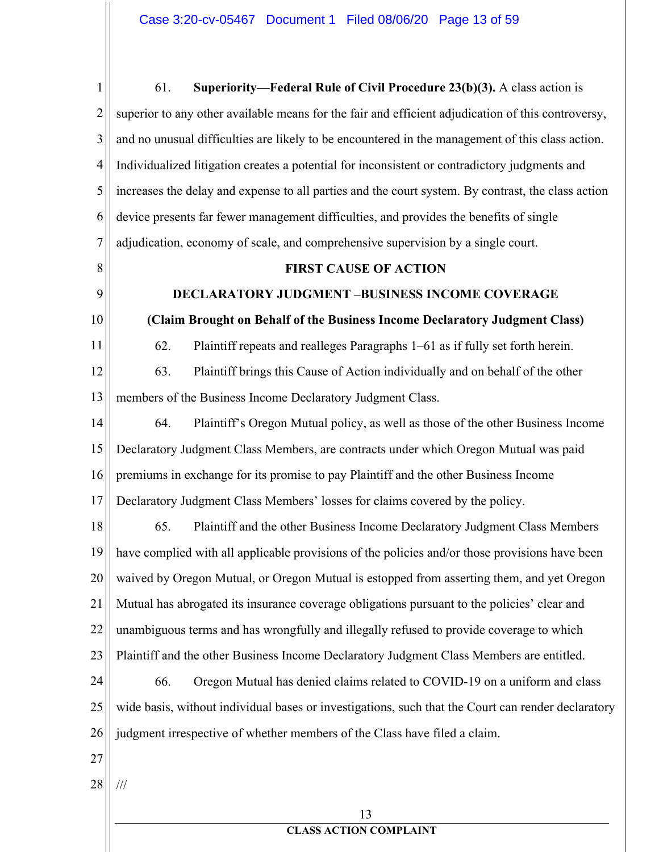$\mathbf{1}$ 61. Superiority—Federal Rule of Civil Procedure 23(b)(3). A class action is  $\overline{2}$ superior to any other available means for the fair and efficient adjudication of this controversy, 3 and no unusual difficulties are likely to be encountered in the management of this class action. 4 Individualized litigation creates a potential for inconsistent or contradictory judgments and 5 increases the delay and expense to all parties and the court system. By contrast, the class action 6 device presents far fewer management difficulties, and provides the benefits of single 7 adjudication, economy of scale, and comprehensive supervision by a single court. 8 **FIRST CAUSE OF ACTION** 9 **DECLARATORY JUDGMENT -BUSINESS INCOME COVERAGE** 10 (Claim Brought on Behalf of the Business Income Declaratory Judgment Class) 11 62. Plaintiff repeats and realleges Paragraphs 1–61 as if fully set forth herein. 12 63. Plaintiff brings this Cause of Action individually and on behalf of the other members of the Business Income Declaratory Judgment Class. 13 14 64. Plaintiff's Oregon Mutual policy, as well as those of the other Business Income 15 Declaratory Judgment Class Members, are contracts under which Oregon Mutual was paid 16 premiums in exchange for its promise to pay Plaintiff and the other Business Income 17 Declaratory Judgment Class Members' losses for claims covered by the policy. 65. 18 Plaintiff and the other Business Income Declaratory Judgment Class Members 19 have complied with all applicable provisions of the policies and/or those provisions have been 20 waived by Oregon Mutual, or Oregon Mutual is estopped from asserting them, and yet Oregon 21 Mutual has abrogated its insurance coverage obligations pursuant to the policies' clear and 22 unambiguous terms and has wrongfully and illegally refused to provide coverage to which 23 Plaintiff and the other Business Income Declaratory Judgment Class Members are entitled. 24 66. Oregon Mutual has denied claims related to COVID-19 on a uniform and class 25 wide basis, without individual bases or investigations, such that the Court can render declaratory 26 judgment irrespective of whether members of the Class have filed a claim.  $27$ 28  $\frac{1}{1}$ 13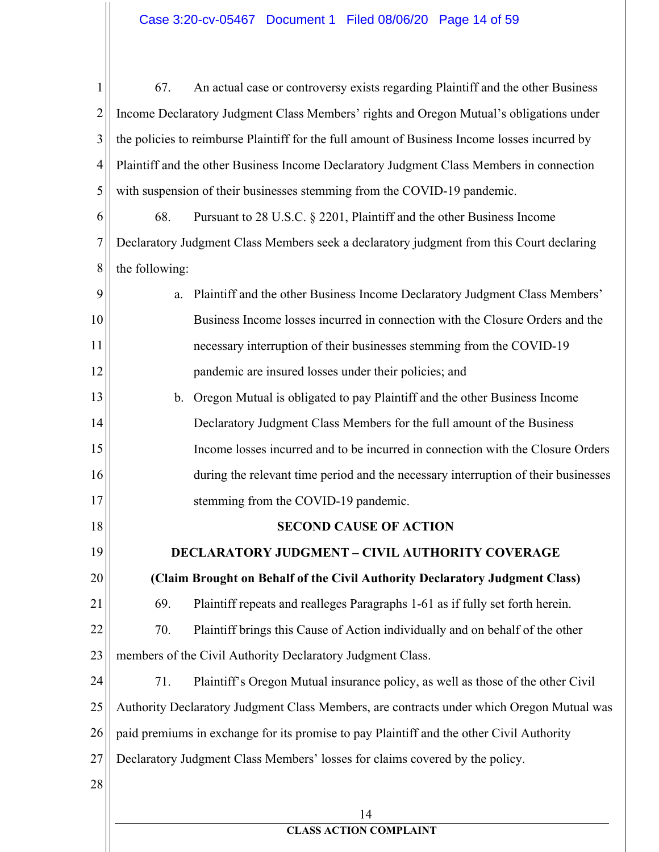$\mathbf{1}$ 67. An actual case or controversy exists regarding Plaintiff and the other Business  $\overline{2}$ Income Declaratory Judgment Class Members' rights and Oregon Mutual's obligations under 3 the policies to reimburse Plaintiff for the full amount of Business Income losses incurred by 4 Plaintiff and the other Business Income Declaratory Judgment Class Members in connection 5 with suspension of their businesses stemming from the COVID-19 pandemic. 68. 6 Pursuant to 28 U.S.C.  $\S$  2201, Plaintiff and the other Business Income 7 Declaratory Judgment Class Members seek a declaratory judgment from this Court declaring 8 the following: 9 a. Plaintiff and the other Business Income Declaratory Judgment Class Members' Business Income losses incurred in connection with the Closure Orders and the 10 11 necessary interruption of their businesses stemming from the COVID-19 12 pandemic are insured losses under their policies; and b. Oregon Mutual is obligated to pay Plaintiff and the other Business Income 13 14 Declaratory Judgment Class Members for the full amount of the Business 15 Income losses incurred and to be incurred in connection with the Closure Orders 16 during the relevant time period and the necessary interruption of their businesses stemming from the COVID-19 pandemic. 17 **SECOND CAUSE OF ACTION** 18 19 **DECLARATORY JUDGMENT – CIVIL AUTHORITY COVERAGE** 20 (Claim Brought on Behalf of the Civil Authority Declaratory Judgment Class) 69. 21 Plaintiff repeats and realleges Paragraphs 1-61 as if fully set forth herein. 22 70. Plaintiff brings this Cause of Action individually and on behalf of the other 23 members of the Civil Authority Declaratory Judgment Class. 24 71. Plaintiff's Oregon Mutual insurance policy, as well as those of the other Civil 25 Authority Declaratory Judgment Class Members, are contracts under which Oregon Mutual was 26 paid premiums in exchange for its promise to pay Plaintiff and the other Civil Authority 27 Declaratory Judgment Class Members' losses for claims covered by the policy. 28 14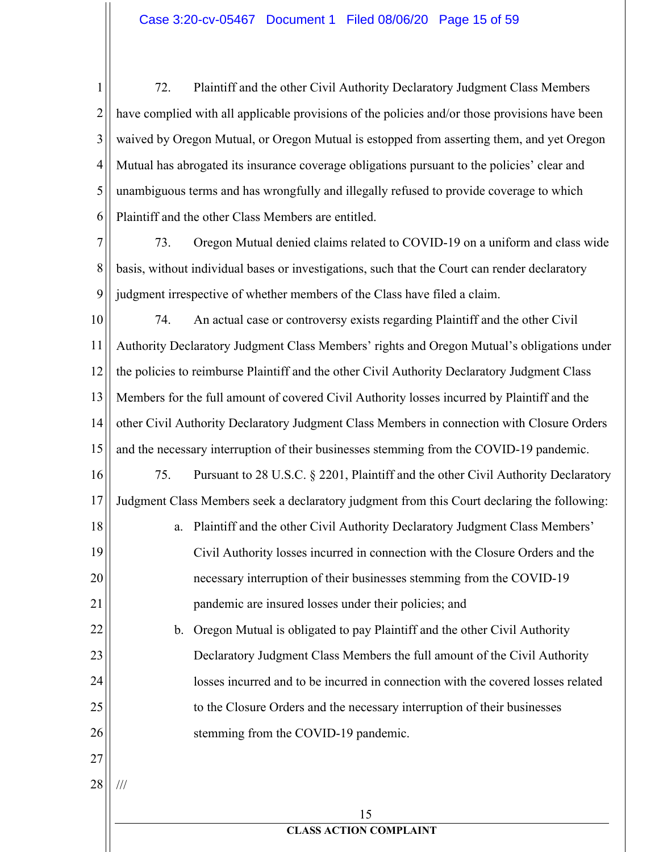$\mathbf{1}$ 72. Plaintiff and the other Civil Authority Declaratory Judgment Class Members  $\overline{2}$ have complied with all applicable provisions of the policies and/or those provisions have been 3 waived by Oregon Mutual, or Oregon Mutual is estopped from asserting them, and yet Oregon 4 Mutual has abrogated its insurance coverage obligations pursuant to the policies' clear and 5 unambiguous terms and has wrongfully and illegally refused to provide coverage to which Plaintiff and the other Class Members are entitled. 6

7 73. Oregon Mutual denied claims related to COVID-19 on a uniform and class wide 8 basis, without individual bases or investigations, such that the Court can render declaratory 9 judgment irrespective of whether members of the Class have filed a claim.

10 74. An actual case or controversy exists regarding Plaintiff and the other Civil Authority Declaratory Judgment Class Members' rights and Oregon Mutual's obligations under 11 12 the policies to reimburse Plaintiff and the other Civil Authority Declaratory Judgment Class 13 Members for the full amount of covered Civil Authority losses incurred by Plaintiff and the 14 other Civil Authority Declaratory Judgment Class Members in connection with Closure Orders 15 and the necessary interruption of their businesses stemming from the COVID-19 pandemic. 16 75. Pursuant to 28 U.S.C. § 2201, Plaintiff and the other Civil Authority Declaratory Judgment Class Members seek a declaratory judgment from this Court declaring the following: 17 18 a. Plaintiff and the other Civil Authority Declaratory Judgment Class Members' 19 Civil Authority losses incurred in connection with the Closure Orders and the 20 necessary interruption of their businesses stemming from the COVID-19 21 pandemic are insured losses under their policies; and 22 b. Oregon Mutual is obligated to pay Plaintiff and the other Civil Authority

Declaratory Judgment Class Members the full amount of the Civil Authority losses incurred and to be incurred in connection with the covered losses related to the Closure Orders and the necessary interruption of their businesses stemming from the COVID-19 pandemic.

27 28

 $\frac{1}{1}$ 

23

24

25

26

15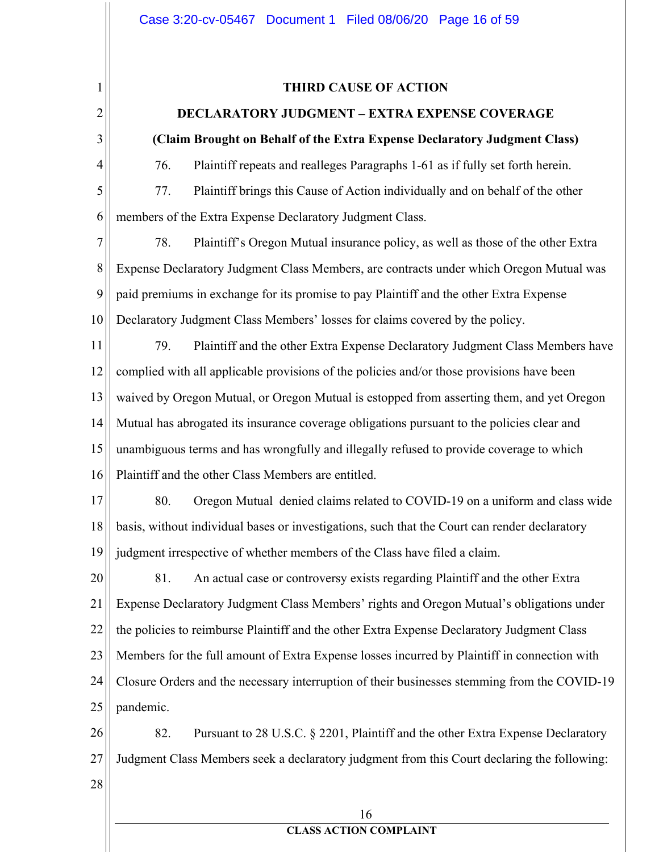### **THIRD CAUSE OF ACTION**

### **DECLARATORY JUDGMENT - EXTRA EXPENSE COVERAGE**

## (Claim Brought on Behalf of the Extra Expense Declaratory Judgment Class)

76. Plaintiff repeats and realleges Paragraphs 1-61 as if fully set forth herein.

5 77. Plaintiff brings this Cause of Action individually and on behalf of the other 6 members of the Extra Expense Declaratory Judgment Class.

7 78. Plaintiff's Oregon Mutual insurance policy, as well as those of the other Extra 8 Expense Declaratory Judgment Class Members, are contracts under which Oregon Mutual was 9 paid premiums in exchange for its promise to pay Plaintiff and the other Extra Expense 10 Declaratory Judgment Class Members' losses for claims covered by the policy.

79. 11 Plaintiff and the other Extra Expense Declaratory Judgment Class Members have 12 complied with all applicable provisions of the policies and/or those provisions have been 13 waived by Oregon Mutual, or Oregon Mutual is estopped from asserting them, and yet Oregon 14 Mutual has abrogated its insurance coverage obligations pursuant to the policies clear and 15 unambiguous terms and has wrongfully and illegally refused to provide coverage to which 16 Plaintiff and the other Class Members are entitled.

17 80. Oregon Mutual denied claims related to COVID-19 on a uniform and class wide basis, without individual bases or investigations, such that the Court can render declaratory 18 judgment irrespective of whether members of the Class have filed a claim. 19

20 81. An actual case or controversy exists regarding Plaintiff and the other Extra 21 Expense Declaratory Judgment Class Members' rights and Oregon Mutual's obligations under 22 the policies to reimburse Plaintiff and the other Extra Expense Declaratory Judgment Class 23 Members for the full amount of Extra Expense losses incurred by Plaintiff in connection with 24 Closure Orders and the necessary interruption of their businesses stemming from the COVID-19 pandemic. 25

26 82. Pursuant to 28 U.S.C. § 2201, Plaintiff and the other Extra Expense Declaratory 27 Judgment Class Members seek a declaratory judgment from this Court declaring the following:

28

 $\mathbf{1}$ 

 $\overline{2}$ 

3

4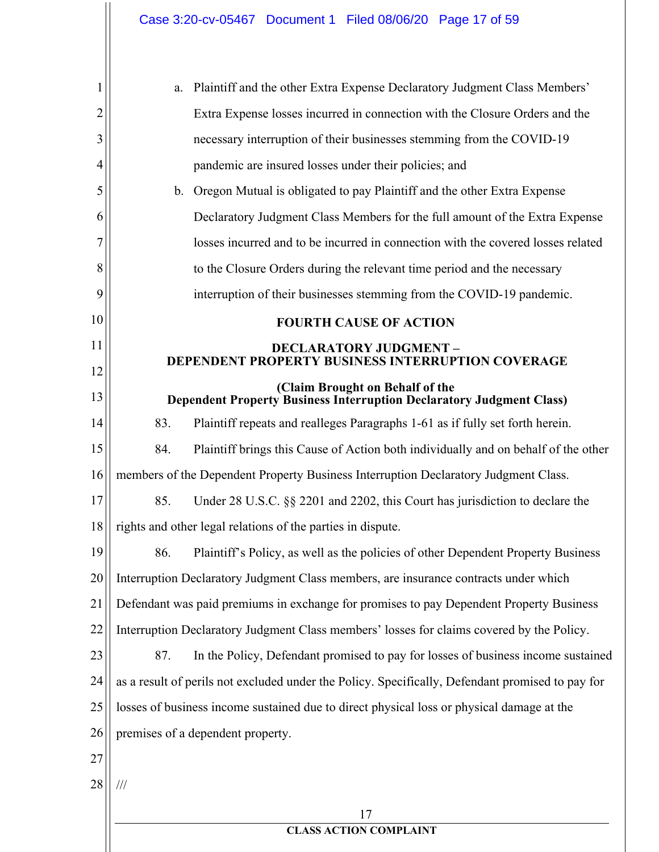| 1  | a.                                                                                        | Plaintiff and the other Extra Expense Declaratory Judgment Class Members'                                      |
|----|-------------------------------------------------------------------------------------------|----------------------------------------------------------------------------------------------------------------|
| 2  |                                                                                           | Extra Expense losses incurred in connection with the Closure Orders and the                                    |
| 3  |                                                                                           | necessary interruption of their businesses stemming from the COVID-19                                          |
| 4  |                                                                                           | pandemic are insured losses under their policies; and                                                          |
| 5  | b.                                                                                        | Oregon Mutual is obligated to pay Plaintiff and the other Extra Expense                                        |
| 6  |                                                                                           | Declaratory Judgment Class Members for the full amount of the Extra Expense                                    |
| 7  |                                                                                           | losses incurred and to be incurred in connection with the covered losses related                               |
| 8  |                                                                                           | to the Closure Orders during the relevant time period and the necessary                                        |
| 9  |                                                                                           | interruption of their businesses stemming from the COVID-19 pandemic.                                          |
| 10 |                                                                                           | <b>FOURTH CAUSE OF ACTION</b>                                                                                  |
| 11 | <b>DECLARATORY JUDGMENT -</b><br><b>DEPENDENT PROPERTY BUSINESS INTERRUPTION COVERAGE</b> |                                                                                                                |
| 12 |                                                                                           |                                                                                                                |
| 13 |                                                                                           | (Claim Brought on Behalf of the<br><b>Dependent Property Business Interruption Declaratory Judgment Class)</b> |
| 14 | 83.                                                                                       | Plaintiff repeats and realleges Paragraphs 1-61 as if fully set forth herein.                                  |
| 15 | 84.                                                                                       | Plaintiff brings this Cause of Action both individually and on behalf of the other                             |
| 16 |                                                                                           | members of the Dependent Property Business Interruption Declaratory Judgment Class.                            |
| 17 | 85.                                                                                       | Under 28 U.S.C. §§ 2201 and 2202, this Court has jurisdiction to declare the                                   |
| 18 |                                                                                           | rights and other legal relations of the parties in dispute.                                                    |
| 19 |                                                                                           | 86. Plaintiff's Policy, as well as the policies of other Dependent Property Business                           |
| 20 |                                                                                           | Interruption Declaratory Judgment Class members, are insurance contracts under which                           |
| 21 |                                                                                           | Defendant was paid premiums in exchange for promises to pay Dependent Property Business                        |
| 22 |                                                                                           | Interruption Declaratory Judgment Class members' losses for claims covered by the Policy.                      |
| 23 | 87.                                                                                       | In the Policy, Defendant promised to pay for losses of business income sustained                               |
| 24 |                                                                                           | as a result of perils not excluded under the Policy. Specifically, Defendant promised to pay for               |
| 25 |                                                                                           | losses of business income sustained due to direct physical loss or physical damage at the                      |
| 26 |                                                                                           | premises of a dependent property.                                                                              |
| 27 |                                                                                           |                                                                                                                |
| 28 | $\frac{1}{1}$                                                                             |                                                                                                                |
|    |                                                                                           | 17                                                                                                             |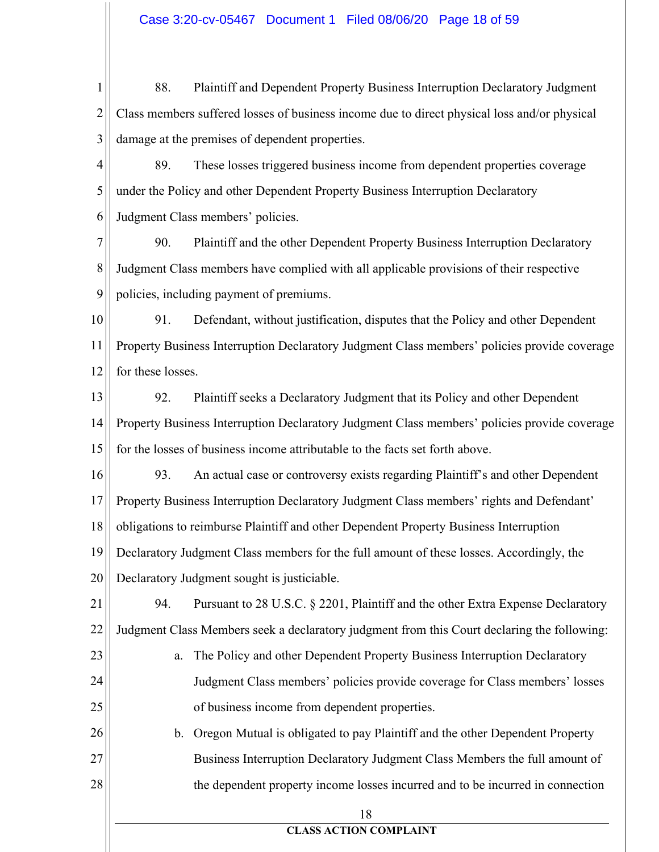$\mathbf{1}$ 88. Plaintiff and Dependent Property Business Interruption Declaratory Judgment  $\overline{2}$ Class members suffered losses of business income due to direct physical loss and/or physical 3 damage at the premises of dependent properties.

4 89. These losses triggered business income from dependent properties coverage 5 under the Policy and other Dependent Property Business Interruption Declaratory 6 Judgment Class members' policies.

7 90. Plaintiff and the other Dependent Property Business Interruption Declaratory 8 Judgment Class members have complied with all applicable provisions of their respective 9 policies, including payment of premiums.

91. 10 Defendant, without justification, disputes that the Policy and other Dependent 11 Property Business Interruption Declaratory Judgment Class members' policies provide coverage 12 for these losses.

92. 13 Plaintiff seeks a Declaratory Judgment that its Policy and other Dependent 14 Property Business Interruption Declaratory Judgment Class members' policies provide coverage 15 for the losses of business income attributable to the facts set forth above.

16 93. An actual case or controversy exists regarding Plaintiff's and other Dependent 17 Property Business Interruption Declaratory Judgment Class members' rights and Defendant' 18 obligations to reimburse Plaintiff and other Dependent Property Business Interruption 19 Declaratory Judgment Class members for the full amount of these losses. Accordingly, the

20 Declaratory Judgment sought is justiciable.

21 94. Pursuant to 28 U.S.C. § 2201, Plaintiff and the other Extra Expense Declaratory 22 Judgment Class Members seek a declaratory judgment from this Court declaring the following:

23 a. The Policy and other Dependent Property Business Interruption Declaratory 24 Judgment Class members' policies provide coverage for Class members' losses 25 of business income from dependent properties.

26 b. Oregon Mutual is obligated to pay Plaintiff and the other Dependent Property 27 Business Interruption Declaratory Judgment Class Members the full amount of 28 the dependent property income losses incurred and to be incurred in connection

18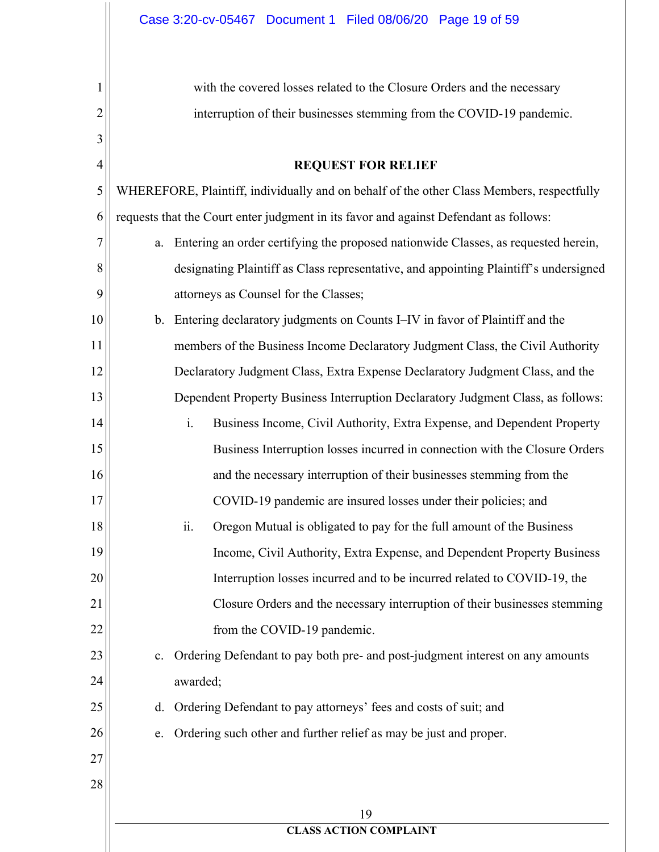with the covered losses related to the Closure Orders and the necessary interruption of their businesses stemming from the COVID-19 pandemic.

#### **REQUEST FOR RELIEF**

5 WHEREFORE, Plaintiff, individually and on behalf of the other Class Members, respectfully 6 requests that the Court enter judgment in its favor and against Defendant as follows:

a. Entering an order certifying the proposed nationwide Classes, as requested herein, designating Plaintiff as Class representative, and appointing Plaintiff's undersigned attorneys as Counsel for the Classes;

10 b. Entering declaratory judgments on Counts I–IV in favor of Plaintiff and the 11 members of the Business Income Declaratory Judgment Class, the Civil Authority 12 Declaratory Judgment Class, Extra Expense Declaratory Judgment Class, and the 13 Dependent Property Business Interruption Declaratory Judgment Class, as follows:

 $\mathbf{i}$ . Business Income, Civil Authority, Extra Expense, and Dependent Property Business Interruption losses incurred in connection with the Closure Orders and the necessary interruption of their businesses stemming from the

COVID-19 pandemic are insured losses under their policies; and

- 18  $ii.$ Oregon Mutual is obligated to pay for the full amount of the Business 19 Income, Civil Authority, Extra Expense, and Dependent Property Business 20 Interruption losses incurred and to be incurred related to COVID-19, the 21 Closure Orders and the necessary interruption of their businesses stemming 22 from the COVID-19 pandemic.
	- c. Ordering Defendant to pay both pre- and post-judgment interest on any amounts awarded:

d. Ordering Defendant to pay attorneys' fees and costs of suit; and

Ordering such other and further relief as may be just and proper. e.

27 28

23

24

25

26

 $\mathbf{1}$ 

 $\overline{2}$ 

3

4

7

8

9

14

15

16

17